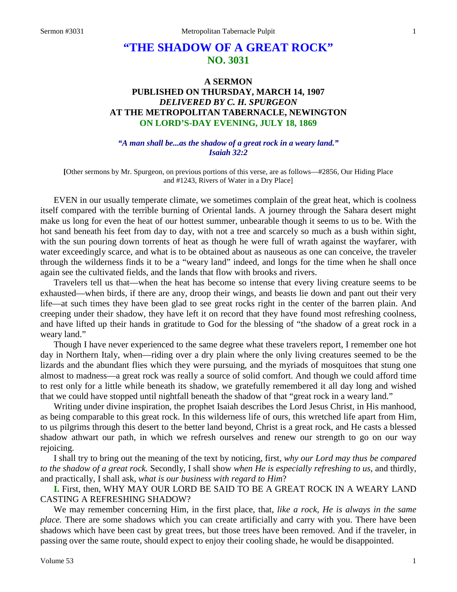# **"THE SHADOW OF A GREAT ROCK" NO. 3031**

# **A SERMON PUBLISHED ON THURSDAY, MARCH 14, 1907** *DELIVERED BY C. H. SPURGEON* **AT THE METROPOLITAN TABERNACLE, NEWINGTON ON LORD'S-DAY EVENING, JULY 18, 1869**

*"A man shall be...as the shadow of a great rock in a weary land." Isaiah 32:2*

**[**Other sermons by Mr. Spurgeon, on previous portions of this verse, are as follows—#2856, Our Hiding Place and #1243, Rivers of Water in a Dry Place]

EVEN in our usually temperate climate, we sometimes complain of the great heat, which is coolness itself compared with the terrible burning of Oriental lands. A journey through the Sahara desert might make us long for even the heat of our hottest summer, unbearable though it seems to us to be. With the hot sand beneath his feet from day to day, with not a tree and scarcely so much as a bush within sight, with the sun pouring down torrents of heat as though he were full of wrath against the wayfarer, with water exceedingly scarce, and what is to be obtained about as nauseous as one can conceive, the traveler through the wilderness finds it to be a "weary land" indeed, and longs for the time when he shall once again see the cultivated fields, and the lands that flow with brooks and rivers.

Travelers tell us that—when the heat has become so intense that every living creature seems to be exhausted—when birds, if there are any, droop their wings, and beasts lie down and pant out their very life—at such times they have been glad to see great rocks right in the center of the barren plain. And creeping under their shadow, they have left it on record that they have found most refreshing coolness, and have lifted up their hands in gratitude to God for the blessing of "the shadow of a great rock in a weary land."

Though I have never experienced to the same degree what these travelers report, I remember one hot day in Northern Italy, when—riding over a dry plain where the only living creatures seemed to be the lizards and the abundant flies which they were pursuing, and the myriads of mosquitoes that stung one almost to madness—a great rock was really a source of solid comfort. And though we could afford time to rest only for a little while beneath its shadow, we gratefully remembered it all day long and wished that we could have stopped until nightfall beneath the shadow of that "great rock in a weary land."

Writing under divine inspiration, the prophet Isaiah describes the Lord Jesus Christ, in His manhood, as being comparable to this great rock. In this wilderness life of ours, this wretched life apart from Him, to us pilgrims through this desert to the better land beyond, Christ is a great rock, and He casts a blessed shadow athwart our path, in which we refresh ourselves and renew our strength to go on our way rejoicing.

I shall try to bring out the meaning of the text by noticing, first, *why our Lord may thus be compared to the shadow of a great rock.* Secondly, I shall show *when He is especially refreshing to us*, and thirdly, and practically, I shall ask, *what is our business with regard to Him*?

**I.** First, then, WHY MAY OUR LORD BE SAID TO BE A GREAT ROCK IN A WEARY LAND CASTING A REFRESHING SHADOW?

We may remember concerning Him, in the first place, that, *like a rock, He is always in the same place.* There are some shadows which you can create artificially and carry with you. There have been shadows which have been cast by great trees, but those trees have been removed. And if the traveler, in passing over the same route, should expect to enjoy their cooling shade, he would be disappointed.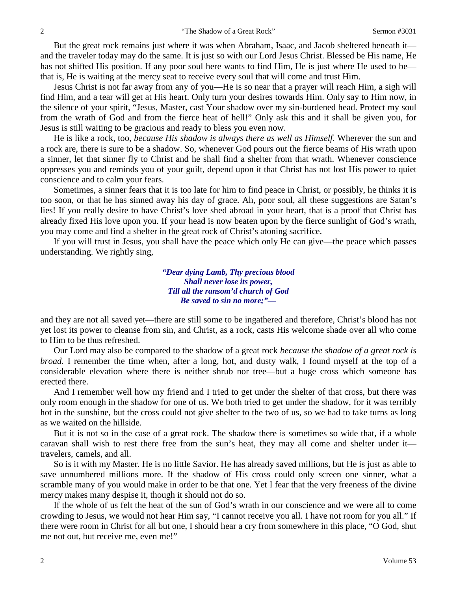But the great rock remains just where it was when Abraham, Isaac, and Jacob sheltered beneath it and the traveler today may do the same. It is just so with our Lord Jesus Christ. Blessed be His name, He has not shifted His position. If any poor soul here wants to find Him, He is just where He used to be that is, He is waiting at the mercy seat to receive every soul that will come and trust Him.

Jesus Christ is not far away from any of you—He is so near that a prayer will reach Him, a sigh will find Him, and a tear will get at His heart. Only turn your desires towards Him. Only say to Him now, in the silence of your spirit, "Jesus, Master, cast Your shadow over my sin-burdened head. Protect my soul from the wrath of God and from the fierce heat of hell!" Only ask this and it shall be given you, for Jesus is still waiting to be gracious and ready to bless you even now.

He is like a rock, too, *because His shadow is always there as well as Himself.* Wherever the sun and a rock are, there is sure to be a shadow. So, whenever God pours out the fierce beams of His wrath upon a sinner, let that sinner fly to Christ and he shall find a shelter from that wrath. Whenever conscience oppresses you and reminds you of your guilt, depend upon it that Christ has not lost His power to quiet conscience and to calm your fears.

Sometimes, a sinner fears that it is too late for him to find peace in Christ, or possibly, he thinks it is too soon, or that he has sinned away his day of grace. Ah, poor soul, all these suggestions are Satan's lies! If you really desire to have Christ's love shed abroad in your heart, that is a proof that Christ has already fixed His love upon you. If your head is now beaten upon by the fierce sunlight of God's wrath, you may come and find a shelter in the great rock of Christ's atoning sacrifice.

If you will trust in Jesus, you shall have the peace which only He can give—the peace which passes understanding. We rightly sing,

> *"Dear dying Lamb, Thy precious blood Shall never lose its power, Till all the ransom'd church of God Be saved to sin no more;"—*

and they are not all saved yet—there are still some to be ingathered and therefore, Christ's blood has not yet lost its power to cleanse from sin, and Christ, as a rock, casts His welcome shade over all who come to Him to be thus refreshed.

Our Lord may also be compared to the shadow of a great rock *because the shadow of a great rock is broad.* I remember the time when, after a long, hot, and dusty walk, I found myself at the top of a considerable elevation where there is neither shrub nor tree—but a huge cross which someone has erected there.

And I remember well how my friend and I tried to get under the shelter of that cross, but there was only room enough in the shadow for one of us. We both tried to get under the shadow, for it was terribly hot in the sunshine, but the cross could not give shelter to the two of us, so we had to take turns as long as we waited on the hillside.

But it is not so in the case of a great rock. The shadow there is sometimes so wide that, if a whole caravan shall wish to rest there free from the sun's heat, they may all come and shelter under it travelers, camels, and all.

So is it with my Master. He is no little Savior. He has already saved millions, but He is just as able to save unnumbered millions more. If the shadow of His cross could only screen one sinner, what a scramble many of you would make in order to be that one. Yet I fear that the very freeness of the divine mercy makes many despise it, though it should not do so.

If the whole of us felt the heat of the sun of God's wrath in our conscience and we were all to come crowding to Jesus, we would not hear Him say, "I cannot receive you all. I have not room for you all." If there were room in Christ for all but one, I should hear a cry from somewhere in this place, "O God, shut me not out, but receive me, even me!"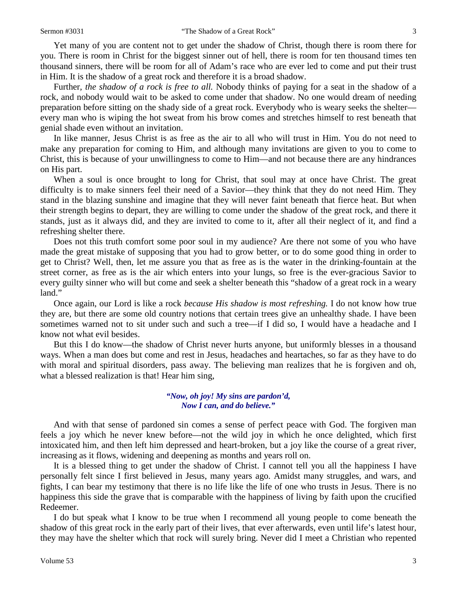Yet many of you are content not to get under the shadow of Christ, though there is room there for you. There is room in Christ for the biggest sinner out of hell, there is room for ten thousand times ten thousand sinners, there will be room for all of Adam's race who are ever led to come and put their trust in Him. It is the shadow of a great rock and therefore it is a broad shadow.

Further*, the shadow of a rock is free to all.* Nobody thinks of paying for a seat in the shadow of a rock, and nobody would wait to be asked to come under that shadow. No one would dream of needing preparation before sitting on the shady side of a great rock. Everybody who is weary seeks the shelter every man who is wiping the hot sweat from his brow comes and stretches himself to rest beneath that genial shade even without an invitation.

In like manner, Jesus Christ is as free as the air to all who will trust in Him. You do not need to make any preparation for coming to Him, and although many invitations are given to you to come to Christ, this is because of your unwillingness to come to Him—and not because there are any hindrances on His part.

When a soul is once brought to long for Christ, that soul may at once have Christ. The great difficulty is to make sinners feel their need of a Savior—they think that they do not need Him. They stand in the blazing sunshine and imagine that they will never faint beneath that fierce heat. But when their strength begins to depart, they are willing to come under the shadow of the great rock, and there it stands, just as it always did, and they are invited to come to it, after all their neglect of it, and find a refreshing shelter there.

Does not this truth comfort some poor soul in my audience? Are there not some of you who have made the great mistake of supposing that you had to grow better, or to do some good thing in order to get to Christ? Well, then, let me assure you that as free as is the water in the drinking-fountain at the street corner, as free as is the air which enters into your lungs, so free is the ever-gracious Savior to every guilty sinner who will but come and seek a shelter beneath this "shadow of a great rock in a weary land."

Once again, our Lord is like a rock *because His shadow is most refreshing.* I do not know how true they are, but there are some old country notions that certain trees give an unhealthy shade. I have been sometimes warned not to sit under such and such a tree—if I did so, I would have a headache and I know not what evil besides.

But this I do know—the shadow of Christ never hurts anyone, but uniformly blesses in a thousand ways. When a man does but come and rest in Jesus*,* headaches and heartaches, so far as they have to do with moral and spiritual disorders, pass away. The believing man realizes that he is forgiven and oh, what a blessed realization is that! Hear him sing,

### *"Now, oh joy! My sins are pardon'd, Now I can, and do believe."*

And with that sense of pardoned sin comes a sense of perfect peace with God. The forgiven man feels a joy which he never knew before—not the wild joy in which he once delighted, which first intoxicated him, and then left him depressed and heart-broken, but a joy like the course of a great river, increasing as it flows, widening and deepening as months and years roll on.

It is a blessed thing to get under the shadow of Christ. I cannot tell you all the happiness I have personally felt since I first believed in Jesus, many years ago. Amidst many struggles, and wars, and fights, I can bear my testimony that there is no life like the life of one who trusts in Jesus. There is no happiness this side the grave that is comparable with the happiness of living by faith upon the crucified Redeemer.

I do but speak what I know to be true when I recommend all young people to come beneath the shadow of this great rock in the early part of their lives, that ever afterwards, even until life's latest hour, they may have the shelter which that rock will surely bring. Never did I meet a Christian who repented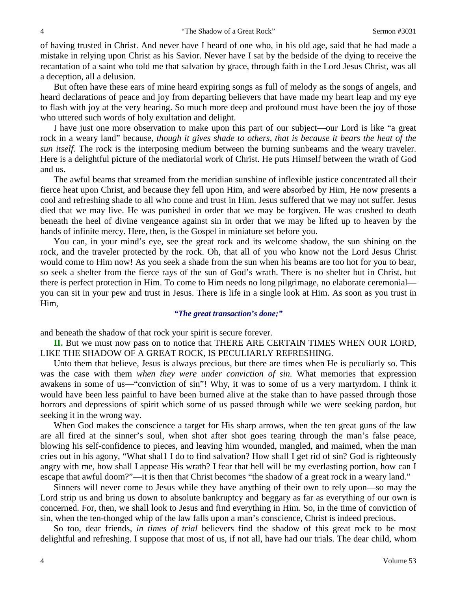of having trusted in Christ. And never have I heard of one who, in his old age, said that he had made a mistake in relying upon Christ as his Savior. Never have I sat by the bedside of the dying to receive the recantation of a saint who told me that salvation by grace, through faith in the Lord Jesus Christ, was all a deception, all a delusion.

But often have these ears of mine heard expiring songs as full of melody as the songs of angels, and heard declarations of peace and joy from departing believers that have made my heart leap and my eye to flash with joy at the very hearing. So much more deep and profound must have been the joy of those who uttered such words of holy exultation and delight.

I have just one more observation to make upon this part of our subject—our Lord is like "a great rock in a weary land" because, *though it gives shade to others, that is because it bears the heat of the sun itself.* The rock is the interposing medium between the burning sunbeams and the weary traveler. Here is a delightful picture of the mediatorial work of Christ. He puts Himself between the wrath of God and us.

The awful beams that streamed from the meridian sunshine of inflexible justice concentrated all their fierce heat upon Christ, and because they fell upon Him, and were absorbed by Him, He now presents a cool and refreshing shade to all who come and trust in Him. Jesus suffered that we may not suffer. Jesus died that we may live. He was punished in order that we may be forgiven. He was crushed to death beneath the heel of divine vengeance against sin in order that we may be lifted up to heaven by the hands of infinite mercy. Here, then, is the Gospel in miniature set before you.

You can, in your mind's eye, see the great rock and its welcome shadow, the sun shining on the rock, and the traveler protected by the rock. Oh, that all of you who know not the Lord Jesus Christ would come to Him now! As you seek a shade from the sun when his beams are too hot for you to bear, so seek a shelter from the fierce rays of the sun of God's wrath. There is no shelter but in Christ, but there is perfect protection in Him. To come to Him needs no long pilgrimage, no elaborate ceremonial you can sit in your pew and trust in Jesus. There is life in a single look at Him. As soon as you trust in Him,

#### *"The great transaction's done;"*

and beneath the shadow of that rock your spirit is secure forever.

**II.** But we must now pass on to notice that THERE ARE CERTAIN TIMES WHEN OUR LORD, LIKE THE SHADOW OF A GREAT ROCK, IS PECULIARLY REFRESHING.

Unto them that believe, Jesus is always precious, but there are times when He is peculiarly so. This was the case with them *when they were under conviction of sin.* What memories that expression awakens in some of us—"conviction of sin"! Why, it was to some of us a very martyrdom. I think it would have been less painful to have been burned alive at the stake than to have passed through those horrors and depressions of spirit which some of us passed through while we were seeking pardon, but seeking it in the wrong way.

When God makes the conscience a target for His sharp arrows, when the ten great guns of the law are all fired at the sinner's soul, when shot after shot goes tearing through the man's false peace, blowing his self-confidence to pieces, and leaving him wounded, mangled, and maimed, when the man cries out in his agony, "What shal1 I do to find salvation? How shall I get rid of sin? God is righteously angry with me, how shall I appease His wrath? I fear that hell will be my everlasting portion, how can I escape that awful doom?"—it is then that Christ becomes "the shadow of a great rock in a weary land."

Sinners will never come to Jesus while they have anything of their own to rely upon—so may the Lord strip us and bring us down to absolute bankruptcy and beggary as far as everything of our own is concerned. For, then, we shall look to Jesus and find everything in Him. So, in the time of conviction of sin, when the ten-thonged whip of the law falls upon a man's conscience, Christ is indeed precious.

So too, dear friends, *in times of trial* believers find the shadow of this great rock to be most delightful and refreshing. I suppose that most of us, if not all, have had our trials. The dear child, whom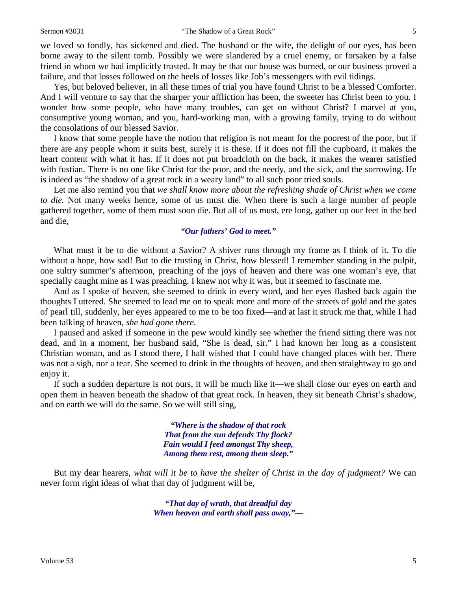#### Sermon #3031 **18 The Shadow of a Great Rock"** 5

we loved so fondly, has sickened and died. The husband or the wife, the delight of our eyes, has been borne away to the silent tomb. Possibly we were slandered by a cruel enemy, or forsaken by a false friend in whom we had implicitly trusted. It may be that our house was burned, or our business proved a failure, and that losses followed on the heels of losses like Job's messengers with evil tidings.

Yes, but beloved believer, in all these times of trial you have found Christ to be a blessed Comforter. And I will venture to say that the sharper your affliction has been, the sweeter has Christ been to you. I wonder how some people, who have many troubles, can get on without Christ? I marvel at you, consumptive young woman, and you, hard-working man, with a growing family, trying to do without the consolations of our blessed Savior.

I know that some people have the notion that religion is not meant for the poorest of the poor, but if there are any people whom it suits best, surely it is these. If it does not fill the cupboard, it makes the heart content with what it has. If it does not put broadcloth on the back, it makes the wearer satisfied with fustian. There is no one like Christ for the poor, and the needy, and the sick, and the sorrowing. He is indeed as "the shadow of a great rock in a weary land" to all such poor tried souls.

Let me also remind you that *we shall know more about the refreshing shade of Christ when we come to die.* Not many weeks hence, some of us must die. When there is such a large number of people gathered together, some of them must soon die. But all of us must, ere long, gather up our feet in the bed and die,

### *"Our fathers' God to meet."*

What must it be to die without a Savior? A shiver runs through my frame as I think of it. To die without a hope, how sad! But to die trusting in Christ, how blessed! I remember standing in the pulpit, one sultry summer's afternoon, preaching of the joys of heaven and there was one woman's eye, that specially caught mine as I was preaching. I knew not why it was, but it seemed to fascinate me.

And as I spoke of heaven, she seemed to drink in every word, and her eyes flashed back again the thoughts I uttered. She seemed to lead me on to speak more and more of the streets of gold and the gates of pearl till, suddenly, her eyes appeared to me to be too fixed—and at last it struck me that, while I had been talking of heaven, *she had gone there.* 

I paused and asked if someone in the pew would kindly see whether the friend sitting there was not dead, and in a moment, her husband said, "She is dead, sir." I had known her long as a consistent Christian woman, and as I stood there, I half wished that I could have changed places with her. There was not a sigh, nor a tear. She seemed to drink in the thoughts of heaven, and then straightway to go and enjoy it.

If such a sudden departure is not ours, it will be much like it—we shall close our eyes on earth and open them in heaven beneath the shadow of that great rock. In heaven, they sit beneath Christ's shadow, and on earth we will do the same. So we will still sing,

> *"Where is the shadow of that rock That from the sun defends Thy flock? Fain would I feed amongst Thy sheep, Among them rest, among them sleep."*

But my dear hearers, *what will it be to have the shelter of Christ in the day of judgment?* We can never form right ideas of what that day of judgment will be,

> *"That day of wrath, that dreadful day When heaven and earth shall pass away,"—*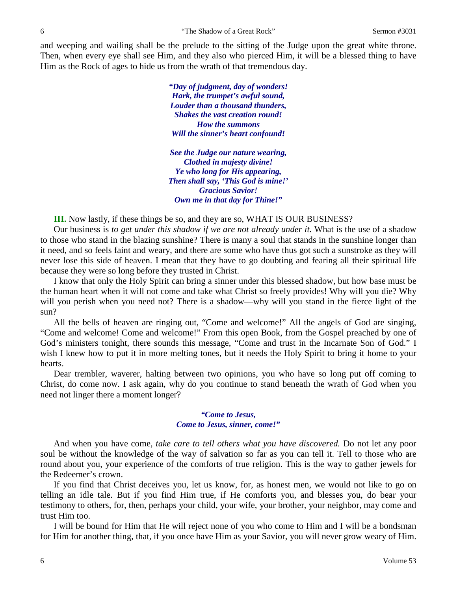and weeping and wailing shall be the prelude to the sitting of the Judge upon the great white throne. Then, when every eye shall see Him, and they also who pierced Him, it will be a blessed thing to have Him as the Rock of ages to hide us from the wrath of that tremendous day.

> *"Day of judgment, day of wonders! Hark, the trumpet's awful sound, Louder than a thousand thunders, Shakes the vast creation round! How the summons Will the sinner's heart confound!*

*See the Judge our nature wearing, Clothed in majesty divine! Ye who long for His appearing, Then shall say, 'This God is mine!' Gracious Savior! Own me in that day for Thine!"*

**III.** Now lastly, if these things be so, and they are so, WHAT IS OUR BUSINESS?

Our business is *to get under this shadow if we are not already under it.* What is the use of a shadow to those who stand in the blazing sunshine? There is many a soul that stands in the sunshine longer than it need, and so feels faint and weary, and there are some who have thus got such a sunstroke as they will never lose this side of heaven. I mean that they have to go doubting and fearing all their spiritual life because they were so long before they trusted in Christ.

I know that only the Holy Spirit can bring a sinner under this blessed shadow, but how base must be the human heart when it will not come and take what Christ so freely provides! Why will you die? Why will you perish when you need not? There is a shadow—why will you stand in the fierce light of the sun?

All the bells of heaven are ringing out, "Come and welcome!" All the angels of God are singing, "Come and welcome! Come and welcome!" From this open Book, from the Gospel preached by one of God's ministers tonight, there sounds this message, "Come and trust in the Incarnate Son of God." I wish I knew how to put it in more melting tones, but it needs the Holy Spirit to bring it home to your hearts.

Dear trembler, waverer, halting between two opinions, you who have so long put off coming to Christ, do come now. I ask again, why do you continue to stand beneath the wrath of God when you need not linger there a moment longer?

### *"Come to Jesus, Come to Jesus, sinner, come!"*

And when you have come, *take care to tell others what you have discovered.* Do not let any poor soul be without the knowledge of the way of salvation so far as you can tell it. Tell to those who are round about you, your experience of the comforts of true religion. This is the way to gather jewels for the Redeemer's crown.

If you find that Christ deceives you, let us know, for, as honest men, we would not like to go on telling an idle tale. But if you find Him true, if He comforts you, and blesses you, do bear your testimony to others, for, then, perhaps your child, your wife, your brother, your neighbor, may come and trust Him too.

I will be bound for Him that He will reject none of you who come to Him and I will be a bondsman for Him for another thing, that, if you once have Him as your Savior, you will never grow weary of Him.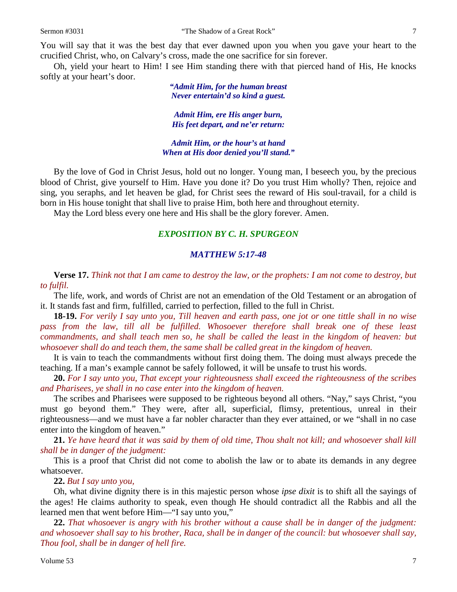You will say that it was the best day that ever dawned upon you when you gave your heart to the crucified Christ, who, on Calvary's cross, made the one sacrifice for sin forever.

Oh, yield your heart to Him! I see Him standing there with that pierced hand of His, He knocks softly at your heart's door.

> *"Admit Him, for the human breast Never entertain'd so kind a guest.*

*Admit Him, ere His anger burn, His feet depart, and ne'er return:*

*Admit Him, or the hour's at hand When at His door denied you'll stand."*

By the love of God in Christ Jesus, hold out no longer. Young man, I beseech you, by the precious blood of Christ, give yourself to Him. Have you done it? Do you trust Him wholly? Then, rejoice and sing, you seraphs, and let heaven be glad, for Christ sees the reward of His soul-travail, for a child is born in His house tonight that shall live to praise Him, both here and throughout eternity.

May the Lord bless every one here and His shall be the glory forever. Amen.

## *EXPOSITION BY C. H. SPURGEON*

#### *MATTHEW 5:17-48*

**Verse 17.** *Think not that I am came to destroy the law, or the prophets: I am not come to destroy, but to fulfil.*

The life, work, and words of Christ are not an emendation of the Old Testament or an abrogation of it. It stands fast and firm, fulfilled, carried to perfection, filled to the full in Christ.

**18-19.** *For verily I say unto you, Till heaven and earth pass, one jot or one tittle shall in no wise*  pass from the law, till all be fulfilled. Whosoever therefore shall break one of these least *commandments, and shall teach men so, he shall be called the least in the kingdom of heaven: but whosoever shall do and teach them, the same shall be called great in the kingdom of heaven.*

It is vain to teach the commandments without first doing them. The doing must always precede the teaching. If a man's example cannot be safely followed, it will be unsafe to trust his words.

**20.** *For I say unto you, That except your righteousness shall exceed the righteousness of the scribes and Pharisees, ye shall in no case enter into the kingdom of heaven.*

The scribes and Pharisees were supposed to be righteous beyond all others. "Nay," says Christ, "you must go beyond them." They were, after all, superficial, flimsy, pretentious, unreal in their righteousness—and we must have a far nobler character than they ever attained, or we "shall in no case enter into the kingdom of heaven."

**21.** *Ye have heard that it was said by them of old time, Thou shalt not kill; and whosoever shall kill shall be in danger of the judgment:*

This is a proof that Christ did not come to abolish the law or to abate its demands in any degree whatsoever.

**22.** *But I say unto you,*

Oh, what divine dignity there is in this majestic person whose *ipse dixit* is to shift all the sayings of the ages! He claims authority to speak, even though He should contradict all the Rabbis and all the learned men that went before Him—"I say unto you,"

**22.** *That whosoever is angry with his brother without a cause shall be in danger of the judgment: and whosoever shall say to his brother, Raca, shall be in danger of the council: but whosoever shall say, Thou fool, shall be in danger of hell fire.*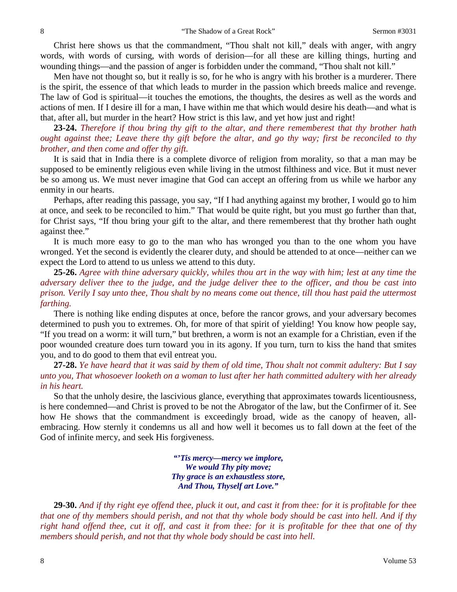Christ here shows us that the commandment, "Thou shalt not kill," deals with anger, with angry words, with words of cursing, with words of derision—for all these are killing things, hurting and wounding things—and the passion of anger is forbidden under the command, "Thou shalt not kill."

Men have not thought so, but it really is so, for he who is angry with his brother is a murderer. There is the spirit, the essence of that which leads to murder in the passion which breeds malice and revenge. The law of God is spiritual—it touches the emotions, the thoughts, the desires as well as the words and actions of men. If I desire ill for a man, I have within me that which would desire his death—and what is that, after all, but murder in the heart? How strict is this law, and yet how just and right!

**23-24.** *Therefore if thou bring thy gift to the altar, and there rememberest that thy brother hath ought against thee; Leave there thy gift before the altar, and go thy way; first be reconciled to thy brother, and then come and offer thy gift.*

It is said that in India there is a complete divorce of religion from morality, so that a man may be supposed to be eminently religious even while living in the utmost filthiness and vice. But it must never be so among us. We must never imagine that God can accept an offering from us while we harbor any enmity in our hearts.

Perhaps, after reading this passage, you say, "If I had anything against my brother, I would go to him at once, and seek to be reconciled to him." That would be quite right, but you must go further than that, for Christ says, "If thou bring your gift to the altar, and there rememberest that thy brother hath ought against thee."

It is much more easy to go to the man who has wronged you than to the one whom you have wronged. Yet the second is evidently the clearer duty, and should be attended to at once—neither can we expect the Lord to attend to us unless we attend to this duty.

**25-26.** *Agree with thine adversary quickly, whiles thou art in the way with him; lest at any time the adversary deliver thee to the judge, and the judge deliver thee to the officer, and thou be cast into prison. Verily I say unto thee, Thou shalt by no means come out thence, till thou hast paid the uttermost farthing.*

There is nothing like ending disputes at once, before the rancor grows, and your adversary becomes determined to push you to extremes. Oh, for more of that spirit of yielding! You know how people say, "If you tread on a worm: it will turn," but brethren, a worm is not an example for a Christian, even if the poor wounded creature does turn toward you in its agony. If you turn, turn to kiss the hand that smites you, and to do good to them that evil entreat you.

**27-28.** *Ye have heard that it was said by them of old time, Thou shalt not commit adultery: But I say unto you, That whosoever looketh on a woman to lust after her hath committed adultery with her already in his heart.*

So that the unholy desire, the lascivious glance, everything that approximates towards licentiousness, is here condemned—and Christ is proved to be not the Abrogator of the law, but the Confirmer of it. See how He shows that the commandment is exceedingly broad, wide as the canopy of heaven, allembracing. How sternly it condemns us all and how well it becomes us to fall down at the feet of the God of infinite mercy, and seek His forgiveness.

> *"'Tis mercy—mercy we implore, We would Thy pity move; Thy grace is an exhaustless store, And Thou, Thyself art Love."*

**29-30.** *And if thy right eye offend thee, pluck it out, and cast it from thee: for it is profitable for thee that one of thy members should perish, and not that thy whole body should be cast into hell. And if thy right hand offend thee, cut it off, and cast it from thee: for it is profitable for thee that one of thy members should perish, and not that thy whole body should be cast into hell.*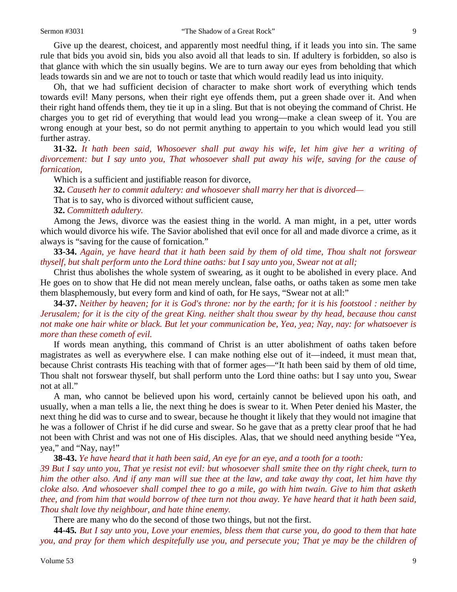Give up the dearest, choicest, and apparently most needful thing, if it leads you into sin. The same rule that bids you avoid sin, bids you also avoid all that leads to sin. If adultery is forbidden, so also is that glance with which the sin usually begins. We are to turn away our eyes from beholding that which leads towards sin and we are not to touch or taste that which would readily lead us into iniquity.

Oh, that we had sufficient decision of character to make short work of everything which tends towards evil! Many persons, when their right eye offends them, put a green shade over it. And when their right hand offends them, they tie it up in a sling. But that is not obeying the command of Christ. He charges you to get rid of everything that would lead you wrong—make a clean sweep of it. You are wrong enough at your best, so do not permit anything to appertain to you which would lead you still further astray.

**31-32.** *It hath been said, Whosoever shall put away his wife, let him give her a writing of divorcement: but I say unto you, That whosoever shall put away his wife, saving for the cause of fornication,*

Which is a sufficient and justifiable reason for divorce,

**32.** *Causeth her to commit adultery: and whosoever shall marry her that is divorced—*

That is to say, who is divorced without sufficient cause,

#### **32.** *Committeth adultery.*

Among the Jews, divorce was the easiest thing in the world. A man might, in a pet, utter words which would divorce his wife. The Savior abolished that evil once for all and made divorce a crime, as it always is "saving for the cause of fornication."

**33-34.** *Again, ye have heard that it hath been said by them of old time, Thou shalt not forswear thyself, but shalt perform unto the Lord thine oaths: but I say unto you, Swear not at all;*

Christ thus abolishes the whole system of swearing, as it ought to be abolished in every place. And He goes on to show that He did not mean merely unclean, false oaths, or oaths taken as some men take them blasphemously, but every form and kind of oath, for He says, "Swear not at all:"

**34-37.** *Neither by heaven; for it is God's throne: nor by the earth; for it is his footstool : neither by Jerusalem; for it is the city of the great King. neither shalt thou swear by thy head, because thou canst not make one hair white or black. But let your communication be, Yea, yea; Nay, nay: for whatsoever is more than these cometh of evil.*

If words mean anything, this command of Christ is an utter abolishment of oaths taken before magistrates as well as everywhere else. I can make nothing else out of it—indeed, it must mean that, because Christ contrasts His teaching with that of former ages—"It hath been said by them of old time, Thou shalt not forswear thyself, but shall perform unto the Lord thine oaths: but I say unto you, Swear not at all."

A man, who cannot be believed upon his word, certainly cannot be believed upon his oath, and usually, when a man tells a lie, the next thing he does is swear to it. When Peter denied his Master, the next thing he did was to curse and to swear, because he thought it likely that they would not imagine that he was a follower of Christ if he did curse and swear. So he gave that as a pretty clear proof that he had not been with Christ and was not one of His disciples. Alas, that we should need anything beside "Yea, yea," and "Nay, nay!"

**38-43.** *Ye have heard that it hath been said, An eye for an eye, and a tooth for a tooth:*

*39 But I say unto you, That ye resist not evil: but whosoever shall smite thee on thy right cheek, turn to him the other also. And if any man will sue thee at the law, and take away thy coat, let him have thy cloke also. And whosoever shall compel thee to go a mile, go with him twain. Give to him that asketh thee, and from him that would borrow of thee turn not thou away. Ye have heard that it hath been said, Thou shalt love thy neighbour, and hate thine enemy.*

There are many who do the second of those two things, but not the first.

**44-45***. But I say unto you, Love your enemies, bless them that curse you, do good to them that hate you, and pray for them which despitefully use you, and persecute you; That ye may be the children of*